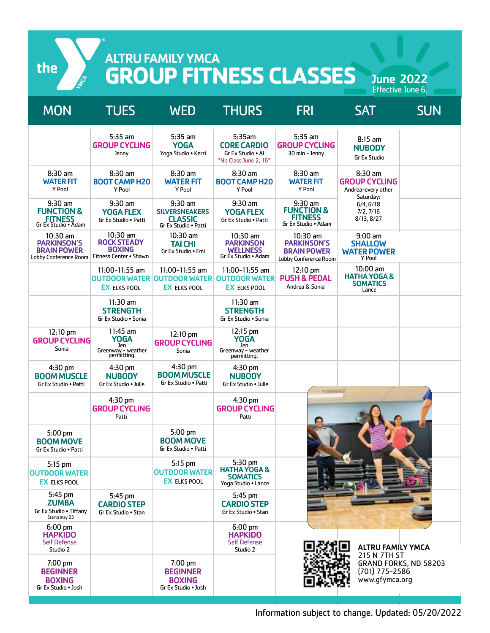the

# ALTRU FAMILY YMCA **GROUP FITNESS CLASSES**

June 2022

| <b>MON</b>                                                                      | <b>TUES</b>                                                                   | <b>WED</b>                                                                   | <b>THURS</b>                                                                 | <b>FRI</b>                                                                      | <b>SAT</b>                                                           | <b>SUN</b>            |
|---------------------------------------------------------------------------------|-------------------------------------------------------------------------------|------------------------------------------------------------------------------|------------------------------------------------------------------------------|---------------------------------------------------------------------------------|----------------------------------------------------------------------|-----------------------|
|                                                                                 | $5:35$ am<br><b>GROUP CYCLING</b><br>Jenny                                    | $5:35$ am<br><b>YOGA</b><br>Yoga Studio . Kerri                              | 5:35am<br><b>CORE CARDIO</b><br>Gr Ex Studio . Al<br>*No Class June 2, 16*   | 5:35 am<br><b>GROUP CYCLING</b><br>30 min - Jenny                               | $8:15$ am<br><b>NUBODY</b><br><b>Gr Ex Studio</b>                    |                       |
| $8:30$ am<br><b>WATER FIT</b><br>Y Pool                                         | $8:30$ am<br><b>BOOT CAMP H20</b><br>Y Pool                                   | 8:30 am<br><b>WATER FIT</b><br>Y Pool                                        | $8:30$ am<br><b>BOOT CAMP H20</b><br>Y Pool                                  | $8:30$ am<br><b>WATER FIT</b><br>Y Pool                                         | $8:30$ am<br><b>GROUP CYCLING</b><br>Andrea-every other<br>Saturday: |                       |
| $9:30$ am<br><b>FUNCTION &amp;</b><br><b>FITNESS</b><br>Gr Ex Studio • Adam     | $9:30$ am<br><b>YOGA FLEX</b><br>Gr Ex Studio . Patti                         | $9:30$ am<br><b>SILVERSNEAKERS</b><br><b>CLASSIC</b><br>Gr Ex Studio . Patti | $9:30$ am<br><b>YOGA FLEX</b><br>Gr Ex Studio . Patti                        | $9:30$ am<br><b>FUNCTION &amp;</b><br><b>FITNESS</b><br>Gr Ex Studio • Adam     | 6/4, 6/18<br>7/2, 7/16<br>8/13, 8/27                                 |                       |
| $10:30$ am<br><b>PARKINSON'S</b><br><b>BRAIN POWER</b><br>Lobby Conference Room | $10:30$ am<br><b>ROCK STEADY</b><br><b>BOXING</b><br>Fitness Center . Shawn   | $10:30$ am<br><b>TAI CHI</b><br>Gr Ex Studio . Emi                           | $10:30$ am<br><b>PARKINSON</b><br>WELLNESS<br>Gr Ex Studio . Adam            | $10:30$ am<br><b>PARKINSON'S</b><br><b>BRAIN POWER</b><br>Lobby Conference Room | $9:00$ am<br><b>SHALLOW</b><br><b>WATER POWER</b><br>Y Pool          |                       |
|                                                                                 | $11:00-11:55$ am<br><b>OUTDOOR WATER OUTDOOR WATER</b><br><b>EX ELKS POOL</b> | $11:00-11:55$ am<br><b>EX ELKS POOL</b>                                      | 11:00-11:55 am<br><b>OUTDOOR WATER</b><br><b>EX ELKS POOL</b>                | 12:10 pm<br><b>PUSH &amp; PEDAL</b><br>Andrea & Sonia                           | 10:00 am<br><b>HATHA YOGA &amp;</b><br><b>SOMATICS</b><br>Lance      |                       |
|                                                                                 | $11:30$ am<br><b>STRENGTH</b><br>Gr Ex Studio . Sonia                         |                                                                              | $11:30$ am<br><b>STRENGTH</b><br>Gr Ex Studio . Sonia                        |                                                                                 |                                                                      |                       |
| 12:10 pm<br><b>GROUP CYCLING</b><br>Sonia                                       | $11:45$ am<br><b>YOGA</b><br>Jen<br>Greenway - weather<br>permitting.         | 12:10 pm<br><b>GROUP CYCLING</b><br>Sonia                                    | 12:15 pm<br><b>YOGA</b><br>Jen<br>Greenway - weather<br>permitting.          |                                                                                 |                                                                      |                       |
| 4:30 pm<br><b>BOOM MUSCLE</b><br>Gr Ex Studio . Patti                           | 4:30 pm<br><b>NUBODY</b><br>Gr Ex Studio . Julie                              | $4:30$ pm<br><b>BOOM MUSCLE</b><br>Gr Ex Studio . Patti                      | $4:30$ pm<br><b>NUBODY</b><br>Gr Ex Studio • Julie                           |                                                                                 |                                                                      |                       |
|                                                                                 | 4:30 pm<br><b>GROUP CYCLING</b><br>Patti                                      |                                                                              | 4:30 pm<br><b>GROUP CYCLING</b><br>Patti                                     |                                                                                 |                                                                      |                       |
| 5:00 pm<br><b>BOOM MOVE</b><br>Gr Ex Studio . Patti                             |                                                                               | 5:00 pm<br><b>BOOM MOVE</b><br>Gr Ex Studio . Patti                          |                                                                              |                                                                                 |                                                                      |                       |
| 5:15 pm<br><b>OUTDOOR WATER</b><br><b>EX ELKS POOL</b>                          |                                                                               | 5:15 pm<br><b>OUTDOOR WATER</b><br><b>EX ELKS POOL</b>                       | 5:30 pm<br><b>HATHA YOGA &amp;</b><br><b>SOMATICS</b><br>Yoga Studio • Lance |                                                                                 |                                                                      |                       |
| 5:45 pm<br><b>ZUMBA</b><br>Gr Ex Studio . Tiffany<br>Starts may 23              | 5:45 pm<br><b>CARDIO STEP</b><br>Gr Ex Studio . Stan                          |                                                                              | $5:45$ pm<br><b>CARDIO STEP</b><br>Gr Ex Studio . Stan                       |                                                                                 |                                                                      |                       |
| $6:00 \text{ pm}$<br><b>HAPKIDO</b><br><b>Self Defense</b><br>Studio 2          |                                                                               |                                                                              | 6:00 pm<br><b>HAPKIDO</b><br><b>Self Defense</b><br>Studio 2                 |                                                                                 | <b>ALTRU FAMILY YMCA</b>                                             |                       |
| 7:00 pm<br><b>BEGINNER</b><br><b>BOXING</b><br>Gr Ex Studio . Josh              |                                                                               | 7:00 pm<br><b>BEGINNER</b><br><b>BOXING</b><br>Gr Ex Studio . Josh           |                                                                              |                                                                                 | 215 N 7TH ST<br>(701) 775-2586<br>www.gfymca.org                     | GRAND FORKS, ND 58203 |

Information subject to change. Updated: 05/20/2022